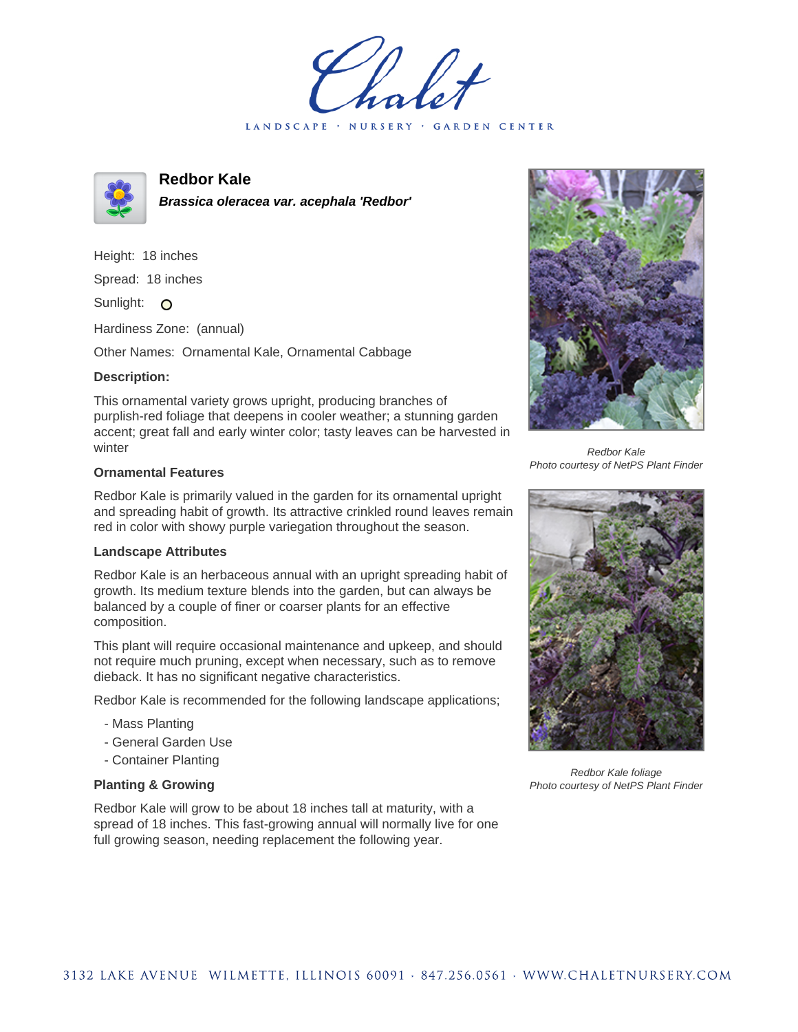LANDSCAPE · NURSERY · GARDEN CENTER



# **Redbor Kale**

**Brassica oleracea var. acephala 'Redbor'**

Height: 18 inches Spread: 18 inches Sunlight: O

Hardiness Zone: (annual)

Other Names: Ornamental Kale, Ornamental Cabbage

### **Description:**

This ornamental variety grows upright, producing branches of purplish-red foliage that deepens in cooler weather; a stunning garden accent; great fall and early winter color; tasty leaves can be harvested in winter

### **Ornamental Features**

Redbor Kale is primarily valued in the garden for its ornamental upright and spreading habit of growth. Its attractive crinkled round leaves remain red in color with showy purple variegation throughout the season.

#### **Landscape Attributes**

Redbor Kale is an herbaceous annual with an upright spreading habit of growth. Its medium texture blends into the garden, but can always be balanced by a couple of finer or coarser plants for an effective composition.

This plant will require occasional maintenance and upkeep, and should not require much pruning, except when necessary, such as to remove dieback. It has no significant negative characteristics.

Redbor Kale is recommended for the following landscape applications;

- Mass Planting
- General Garden Use
- Container Planting

## **Planting & Growing**

Redbor Kale will grow to be about 18 inches tall at maturity, with a spread of 18 inches. This fast-growing annual will normally live for one full growing season, needing replacement the following year.



Redbor Kale Photo courtesy of NetPS Plant Finder



Redbor Kale foliage Photo courtesy of NetPS Plant Finder